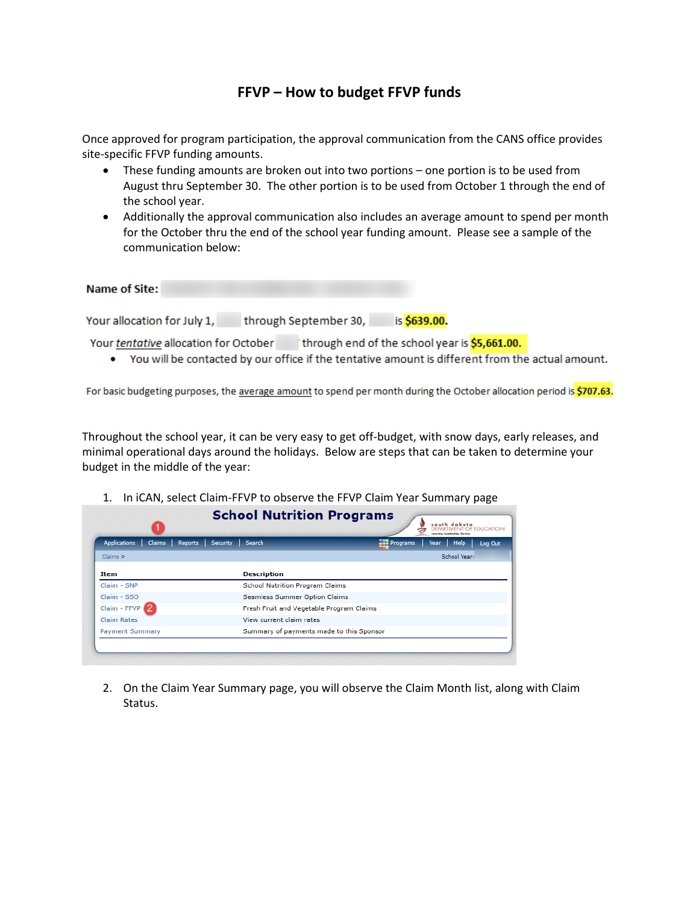## **FFVP – How to budget FFVP funds**

Once approved for program participation, the approval communication from the CANS office provides site-specific FFVP funding amounts.

- These funding amounts are broken out into two portions one portion is to be used from August thru September 30. The other portion is to be used from October 1 through the end of the school year.
- Additionally the approval communication also includes an average amount to spend per month for the October thru the end of the school year funding amount. Please see a sample of the communication below:

| <b>Name of Site:</b>                  |                                               |
|---------------------------------------|-----------------------------------------------|
| Your allocation for July 1,           | is \$639.00.<br>through September 30,         |
| Your tentative allocation for October | through end of the school year is \$5,661.00. |

• You will be contacted by our office if the tentative amount is different from the actual amount.

For basic budgeting purposes, the average amount to spend per month during the October allocation period is \$707.63.

Throughout the school year, it can be very easy to get off-budget, with snow days, early releases, and minimal operational days around the holidays. Below are steps that can be taken to determine your budget in the middle of the year:

| <b>Applications</b><br><b>Claims</b><br><b>Reports</b> | Search<br><b>Security</b>                | P <sub>rograms</sub> | <b>Help</b><br><b>Year</b><br>Log Out |
|--------------------------------------------------------|------------------------------------------|----------------------|---------------------------------------|
| $Claims$ $>$                                           |                                          |                      | School Year:                          |
| <b>Item</b>                                            | <b>Description</b>                       |                      |                                       |
| Claim - SNP                                            | <b>School Nutrition Program Claims</b>   |                      |                                       |
| Claim - SSO                                            | Seamless Summer Option Claims            |                      |                                       |
| $Claim - FFVP$ <sup>2</sup>                            | Fresh Fruit and Vegetable Program Claims |                      |                                       |
| <b>Claim Rates</b>                                     | View current claim rates                 |                      |                                       |
| <b>Payment Summary</b>                                 | Summary of payments made to this Sponsor |                      |                                       |

1. In iCAN, select Claim-FFVP to observe the FFVP Claim Year Summary page

2. On the Claim Year Summary page, you will observe the Claim Month list, along with Claim Status.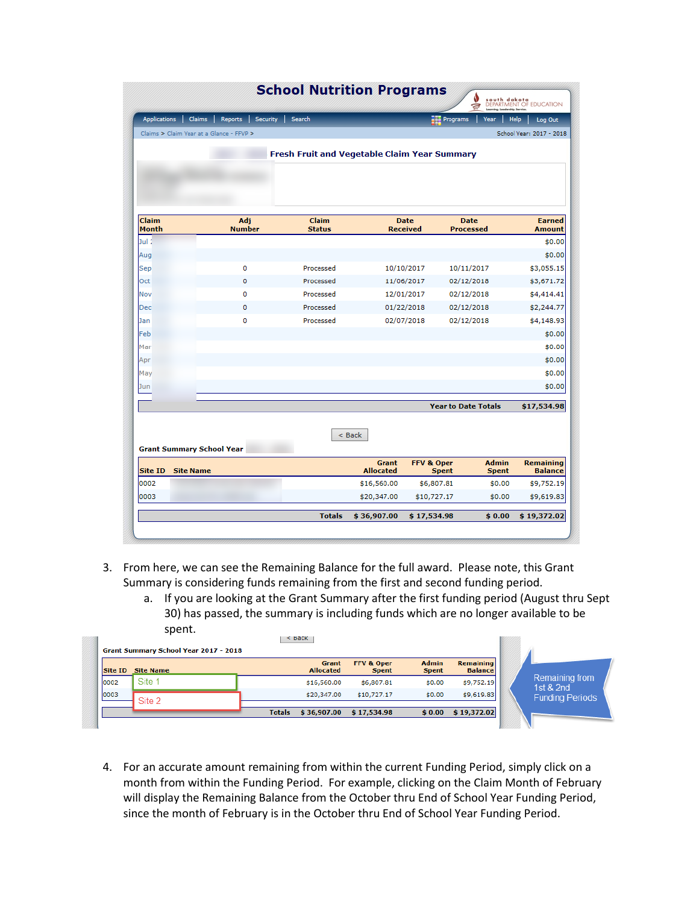| <b>Applications</b>              | Claims<br>Reports<br>Security<br>Claims > Claim Year at a Glance - FFVP > | Search<br>Fresh Fruit and Vegetable Claim Year Summary |                                  |                                       | Programs<br>Year                | <b>Help</b><br>Log Out<br>School Year: 2017 - 2018 |
|----------------------------------|---------------------------------------------------------------------------|--------------------------------------------------------|----------------------------------|---------------------------------------|---------------------------------|----------------------------------------------------|
| Claim<br><b>Month</b>            | Adj<br><b>Number</b>                                                      | <b>Claim</b><br><b>Status</b>                          |                                  | <b>Date</b><br><b>Received</b>        | <b>Date</b><br><b>Processed</b> | <b>Earned</b><br><b>Amount</b>                     |
| Jul 1                            |                                                                           |                                                        |                                  |                                       |                                 | \$0.00                                             |
| Aug                              |                                                                           |                                                        |                                  |                                       |                                 | \$0.00                                             |
| Sep                              | 0                                                                         | Processed                                              |                                  | 10/10/2017                            | 10/11/2017                      | \$3,055.15                                         |
| Oct                              | 0                                                                         | Processed                                              |                                  | 11/06/2017                            | 02/12/2018                      | \$3,671.72                                         |
| Nov                              | o                                                                         | Processed                                              |                                  | 12/01/2017                            | 02/12/2018                      | \$4,414.41                                         |
| Dec                              | 0                                                                         | Processed                                              |                                  | 01/22/2018                            | 02/12/2018                      | \$2,244.77                                         |
| Jan                              | 0                                                                         | Processed                                              |                                  | 02/07/2018                            | 02/12/2018                      | \$4,148.93                                         |
| Feb                              |                                                                           |                                                        |                                  |                                       |                                 | \$0.00                                             |
| Mar                              |                                                                           |                                                        |                                  |                                       |                                 | \$0.00                                             |
| Apr                              |                                                                           |                                                        |                                  |                                       |                                 | \$0.00                                             |
| May                              |                                                                           |                                                        |                                  |                                       |                                 | \$0.00                                             |
| Jun                              |                                                                           |                                                        |                                  |                                       |                                 | \$0.00                                             |
|                                  |                                                                           |                                                        |                                  |                                       | <b>Year to Date Totals</b>      | \$17,534.98                                        |
|                                  |                                                                           |                                                        | < Back                           |                                       |                                 |                                                    |
| <b>Grant Summary School Year</b> |                                                                           |                                                        |                                  |                                       |                                 |                                                    |
| Site ID<br><b>Site Name</b>      |                                                                           |                                                        | <b>Grant</b><br><b>Allocated</b> | <b>FFV &amp; Oper</b><br><b>Spent</b> | <b>Admin</b><br><b>Spent</b>    | <b>Remaining</b><br><b>Balance</b>                 |
| 0002                             |                                                                           |                                                        | \$16,560.00                      | \$6,807.81                            | \$0.00                          | \$9,752.19                                         |
| 0003                             |                                                                           |                                                        | \$20,347.00                      | \$10,727.17                           | \$0.00                          | \$9,619.83                                         |
|                                  |                                                                           | <b>Totals</b>                                          | \$36,907.00                      | \$17,534.98                           | \$0.00                          | \$19,372.02                                        |

- 3. From here, we can see the Remaining Balance for the full award. Please note, this Grant Summary is considering funds remaining from the first and second funding period.
	- a. If you are looking at the Grant Summary after the first funding period (August thru Sept 30) has passed, the summary is including funds which are no longer available to be spent.

| Site 1<br>\$9,752,19<br>\$16,560.00<br>\$6,807.81<br>\$0.00<br>1st $&$ 2nd<br>\$0.00<br>\$9,619.83<br>\$20,347.00<br>\$10,727.17 | Site ID | <b>Site Name</b> | <b>Grant</b><br><b>Allocated</b> | FFV & Oper<br><b>Spent</b> | <b>Admin</b><br><b>Spent</b> | <b>Remaining</b><br><b>Balance</b> |                        |
|----------------------------------------------------------------------------------------------------------------------------------|---------|------------------|----------------------------------|----------------------------|------------------------------|------------------------------------|------------------------|
|                                                                                                                                  | 0002    |                  |                                  |                            |                              |                                    | Remaining from         |
|                                                                                                                                  | 0003    | Site 2           |                                  |                            |                              |                                    | <b>Funding Periods</b> |

4. For an accurate amount remaining from within the current Funding Period, simply click on a month from within the Funding Period. For example, clicking on the Claim Month of February will display the Remaining Balance from the October thru End of School Year Funding Period, since the month of February is in the October thru End of School Year Funding Period.